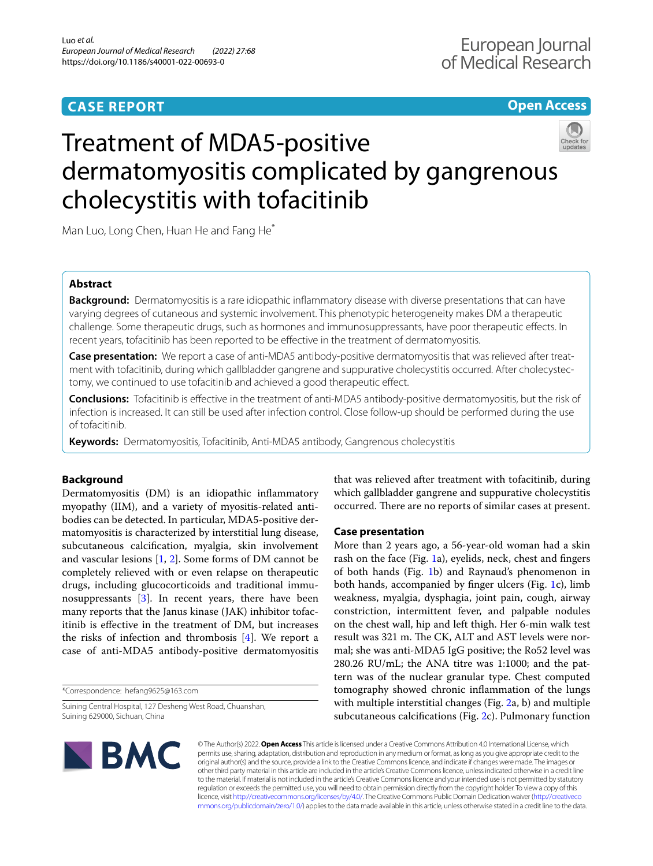## **CASE REPORT**

## **Open Access**



# Treatment of MDA5-positive dermatomyositis complicated by gangrenous cholecystitis with tofacitinib

Man Luo, Long Chen, Huan He and Fang He<sup>\*</sup>

## **Abstract**

**Background:** Dermatomyositis is a rare idiopathic infammatory disease with diverse presentations that can have varying degrees of cutaneous and systemic involvement. This phenotypic heterogeneity makes DM a therapeutic challenge. Some therapeutic drugs, such as hormones and immunosuppressants, have poor therapeutic efects. In recent years, tofacitinib has been reported to be efective in the treatment of dermatomyositis.

**Case presentation:** We report a case of anti-MDA5 antibody-positive dermatomyositis that was relieved after treatment with tofacitinib, during which gallbladder gangrene and suppurative cholecystitis occurred. After cholecystectomy, we continued to use tofacitinib and achieved a good therapeutic efect.

**Conclusions:** Tofacitinib is efective in the treatment of anti-MDA5 antibody-positive dermatomyositis, but the risk of infection is increased. It can still be used after infection control. Close follow-up should be performed during the use of tofacitinib.

**Keywords:** Dermatomyositis, Tofacitinib, Anti-MDA5 antibody, Gangrenous cholecystitis

### **Background**

Dermatomyositis (DM) is an idiopathic infammatory myopathy (IIM), and a variety of myositis-related antibodies can be detected. In particular, MDA5-positive dermatomyositis is characterized by interstitial lung disease, subcutaneous calcifcation, myalgia, skin involvement and vascular lesions [[1,](#page-3-0) [2\]](#page-3-1). Some forms of DM cannot be completely relieved with or even relapse on therapeutic drugs, including glucocorticoids and traditional immunosuppressants [[3\]](#page-3-2). In recent years, there have been many reports that the Janus kinase (JAK) inhibitor tofacitinib is efective in the treatment of DM, but increases the risks of infection and thrombosis [[4](#page-3-3)]. We report a case of anti-MDA5 antibody-positive dermatomyositis

\*Correspondence: hefang9625@163.com

Suining Central Hospital, 127 Desheng West Road, Chuanshan, Suining 629000, Sichuan, China

that was relieved after treatment with tofacitinib, during which gallbladder gangrene and suppurative cholecystitis occurred. There are no reports of similar cases at present.

#### **Case presentation**

More than 2 years ago, a 56-year-old woman had a skin rash on the face (Fig. [1a](#page-1-0)), eyelids, neck, chest and fngers of both hands (Fig. [1b](#page-1-0)) and Raynaud's phenomenon in both hands, accompanied by fnger ulcers (Fig. [1](#page-1-0)c), limb weakness, myalgia, dysphagia, joint pain, cough, airway constriction, intermittent fever, and palpable nodules on the chest wall, hip and left thigh. Her 6-min walk test result was 321 m. The CK, ALT and AST levels were normal; she was anti-MDA5 IgG positive; the Ro52 level was 280.26 RU/mL; the ANA titre was 1:1000; and the pattern was of the nuclear granular type. Chest computed tomography showed chronic infammation of the lungs with multiple interstitial changes (Fig. [2a](#page-1-1), b) and multiple subcutaneous calcifcations (Fig. [2](#page-1-1)c). Pulmonary function



© The Author(s) 2022. **Open Access** This article is licensed under a Creative Commons Attribution 4.0 International License, which permits use, sharing, adaptation, distribution and reproduction in any medium or format, as long as you give appropriate credit to the original author(s) and the source, provide a link to the Creative Commons licence, and indicate if changes were made. The images or other third party material in this article are included in the article's Creative Commons licence, unless indicated otherwise in a credit line to the material. If material is not included in the article's Creative Commons licence and your intended use is not permitted by statutory regulation or exceeds the permitted use, you will need to obtain permission directly from the copyright holder. To view a copy of this licence, visit [http://creativecommons.org/licenses/by/4.0/.](http://creativecommons.org/licenses/by/4.0/) The Creative Commons Public Domain Dedication waiver ([http://creativeco](http://creativecommons.org/publicdomain/zero/1.0/) [mmons.org/publicdomain/zero/1.0/](http://creativecommons.org/publicdomain/zero/1.0/)) applies to the data made available in this article, unless otherwise stated in a credit line to the data.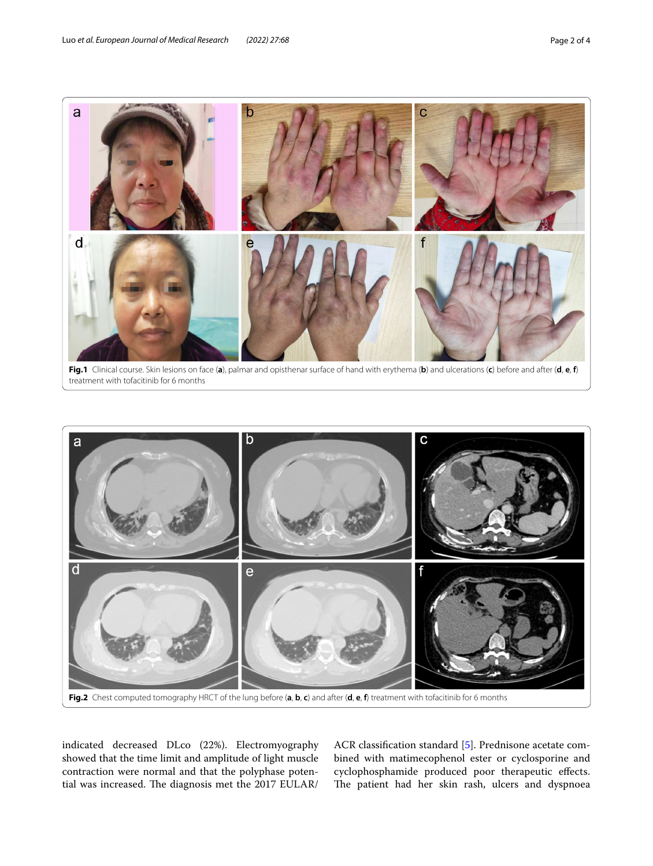

<span id="page-1-0"></span>**Fig.1** Clinical course. Skin lesions on face (**a**), palmar and opisthenar surface of hand with erythema (**b**) and ulcerations (**c**) before and after (**d**, **e**, **f**) treatment with tofacitinib for 6 months



<span id="page-1-1"></span>indicated decreased DLco (22%). Electromyography showed that the time limit and amplitude of light muscle contraction were normal and that the polyphase potential was increased. The diagnosis met the 2017 EULAR/

ACR classifcation standard [\[5](#page-3-4)]. Prednisone acetate combined with matimecophenol ester or cyclosporine and cyclophosphamide produced poor therapeutic efects. The patient had her skin rash, ulcers and dyspnoea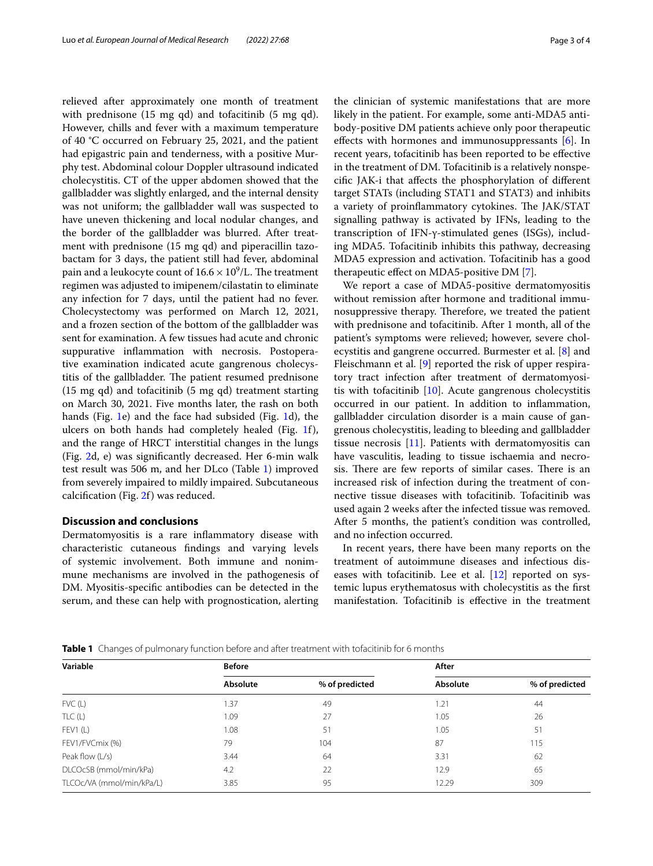relieved after approximately one month of treatment with prednisone (15 mg qd) and tofacitinib (5 mg qd). However, chills and fever with a maximum temperature of 40 °C occurred on February 25, 2021, and the patient had epigastric pain and tenderness, with a positive Murphy test. Abdominal colour Doppler ultrasound indicated cholecystitis. CT of the upper abdomen showed that the gallbladder was slightly enlarged, and the internal density was not uniform; the gallbladder wall was suspected to have uneven thickening and local nodular changes, and the border of the gallbladder was blurred. After treatment with prednisone (15 mg qd) and piperacillin tazobactam for 3 days, the patient still had fever, abdominal pain and a leukocyte count of  $16.6 \times 10^9$ /L. The treatment regimen was adjusted to imipenem/cilastatin to eliminate any infection for 7 days, until the patient had no fever. Cholecystectomy was performed on March 12, 2021, and a frozen section of the bottom of the gallbladder was sent for examination. A few tissues had acute and chronic suppurative infammation with necrosis. Postoperative examination indicated acute gangrenous cholecystitis of the gallbladder. The patient resumed prednisone (15 mg qd) and tofacitinib (5 mg qd) treatment starting on March 30, 2021. Five months later, the rash on both hands (Fig. [1](#page-1-0)e) and the face had subsided (Fig. [1](#page-1-0)d), the ulcers on both hands had completely healed (Fig. [1](#page-1-0)f), and the range of HRCT interstitial changes in the lungs (Fig. [2](#page-1-1)d, e) was signifcantly decreased. Her 6-min walk test result was 506 m, and her DLco (Table [1\)](#page-2-0) improved from severely impaired to mildly impaired. Subcutaneous calcifcation (Fig. [2f](#page-1-1)) was reduced.

#### **Discussion and conclusions**

Dermatomyositis is a rare infammatory disease with characteristic cutaneous fndings and varying levels of systemic involvement. Both immune and nonimmune mechanisms are involved in the pathogenesis of DM. Myositis-specifc antibodies can be detected in the serum, and these can help with prognostication, alerting

the clinician of systemic manifestations that are more likely in the patient. For example, some anti-MDA5 antibody-positive DM patients achieve only poor therapeutic effects with hormones and immunosuppressants [[6\]](#page-3-5). In recent years, tofacitinib has been reported to be efective in the treatment of DM. Tofacitinib is a relatively nonspecifc JAK-i that afects the phosphorylation of diferent target STATs (including STAT1 and STAT3) and inhibits a variety of proinflammatory cytokines. The JAK/STAT signalling pathway is activated by IFNs, leading to the transcription of IFN-γ-stimulated genes (ISGs), including MDA5. Tofacitinib inhibits this pathway, decreasing MDA5 expression and activation. Tofacitinib has a good therapeutic efect on MDA5-positive DM [\[7](#page-3-6)].

We report a case of MDA5-positive dermatomyositis without remission after hormone and traditional immunosuppressive therapy. Therefore, we treated the patient with prednisone and tofacitinib. After 1 month, all of the patient's symptoms were relieved; however, severe cholecystitis and gangrene occurred. Burmester et al. [\[8](#page-3-7)] and Fleischmann et al. [[9](#page-3-8)] reported the risk of upper respiratory tract infection after treatment of dermatomyositis with tofacitinib [\[10](#page-3-9)]. Acute gangrenous cholecystitis occurred in our patient. In addition to infammation, gallbladder circulation disorder is a main cause of gangrenous cholecystitis, leading to bleeding and gallbladder tissue necrosis [\[11\]](#page-3-10). Patients with dermatomyositis can have vasculitis, leading to tissue ischaemia and necrosis. There are few reports of similar cases. There is an increased risk of infection during the treatment of connective tissue diseases with tofacitinib. Tofacitinib was used again 2 weeks after the infected tissue was removed. After 5 months, the patient's condition was controlled, and no infection occurred.

In recent years, there have been many reports on the treatment of autoimmune diseases and infectious diseases with tofacitinib. Lee et al.  $[12]$  reported on systemic lupus erythematosus with cholecystitis as the frst manifestation. Tofacitinib is efective in the treatment

<span id="page-2-0"></span>**Table 1** Changes of pulmonary function before and after treatment with tofacitinib for 6 months

| Variable                  | <b>Before</b> |                | After    |                |
|---------------------------|---------------|----------------|----------|----------------|
|                           | Absolute      | % of predicted | Absolute | % of predicted |
| FVC(L)                    | 1.37          | 49             | 1.21     | 44             |
| TLC(L)                    | 1.09          | 27             | 1.05     | 26             |
| FEV1(L)                   | 1.08          | 51             | 1.05     | 51             |
| FEV1/FVCmix (%)           | 79            | 104            | 87       | 115            |
| Peak flow $(L/s)$         | 3.44          | 64             | 3.31     | 62             |
| DLCOcSB (mmol/min/kPa)    | 4.2           | 22             | 12.9     | 65             |
| TLCOc/VA (mmol/min/kPa/L) | 3.85          | 95             | 12.29    | 309            |